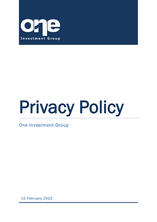

# Privacy Policy

One Investment Group

10 February 2022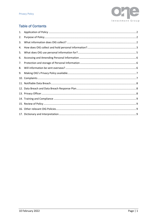

# **Table of Contents**

| 1.  |  |
|-----|--|
| 2.  |  |
| 3.  |  |
| 4.  |  |
| 5.  |  |
| 6.  |  |
| 7.  |  |
| 8.  |  |
| 9.  |  |
|     |  |
|     |  |
|     |  |
|     |  |
|     |  |
|     |  |
| 16. |  |
|     |  |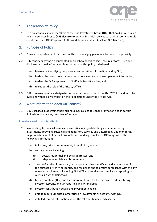

# <span id="page-2-0"></span>1. Application of Policy

1.1. This policy applies to all members of the One Investment Group (**OIG**) that hold an Australian financial services licence (**AFS Licence**) to provide financial services to retail and/or wholesale clients and their OIG Corporate Authorised Representatives (each an **OIG Licensee**).

## <span id="page-2-1"></span>2. Purpose of Policy

- 2.1. Privacy is important and OIG is committed to managing personal information responsibly
- 2.2. OIG considers having a documented approach to how it collects, secures, stores, uses and discloses personal information is important and this policy is designed:
	- (a) to assist in identifying the personal and sensitive information held by OIG;
	- (b) to describe how it collects, secures, stores, uses and discloses personal information;
	- (c) to describe OIG's approach to Notifiable Data Breaches; and
	- (d) to set out the role of the Privacy Officer.
- 2.3. OIG Licensees provide a designated service for the purpose of the AML/CTF Act and must be aware how those laws impact on their obligations under the Privacy Act.

## <span id="page-2-2"></span>3. What information does OIG collect?

3.1. OIG Licensees in operating their business may collect personal information and in certain limited circumstances, sensitive information.

#### **Investors and custodial clients**

- 3.2. In operating its financial services business (including establishing and administering investments, providing custodial and depository services and determining and monitoring target markets for its financial products and handling complaints) OIG may collect the following information:
	- (a) full name, prior or other names, date of birth, gender;
	- (b) contact details including:
		- (i) postal, residential and email addresses; and
		- (ii) telephone, mobile and fax numbers;
	- (c) a copy of a driver licence and/or passport or other identification documentation for the purpose of verifying identity and residence and to ensure compliance with the any relevant requirements including AML/CTF Act, foreign tax compliance reporting or Australian withholding tax;
	- (d) tax file numbers (TFN) and bank account details for the purpose of administering investor accounts and tax reporting and withholding;
	- (e) investor contribution details and investment choice;
	- (f) details about authorised signatories on investments or accounts with OIG;
	- (g) detailed contact information about the relevant financial adviser; and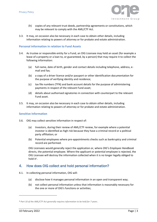

- (h) copies of any relevant trust deeds, partnership agreements or constitutions, which may be relevant to comply with the AML/CTF Act.
- 3.3. It may, on occasion also be necessary in each case to obtain other details, including information relating to powers of attorney or for probate and estate administration.

#### **Personal information in relation to Fund Assets**

- 3.4. As trustee or responsible entity for a Fund, an OIG Licensee may hold an asset (for example a lease of a property or a loan to, or guaranteed, by a person) that may require it to collect the following information:
	- (a) full name, date of birth, gender and contact details including telephone, address, email and fax;
	- (b) a copy of a driver licence and/or passport or other identification documentation for the purpose of verifying identity and residence;
	- (c) tax file numbers (TFN) and bank account details for the purpose of administering payments in respect of the relevant Fund asset;
	- (d) details about authorised signatories in connection with counterpart to the relevant Fund asset.
- 3.5. It may, on occasion also be necessary in each case to obtain other details, including information relating to powers of attorney or for probate and estate administration.

#### **Sensitive Information**

- 3.6. OIG may collect sensitive information in respect of:
	- (a) Investors, during their review of AML/CTF review, for example where a potential investor is identified as high risk because they have a criminal record or a political party affiliation; or
	- (b) Potential employees where pre-appointments checks such as bankruptcy and criminal record are performed.

OIG Licensees would generally reject the application or, where *OIG's Employee Handbook* directs, the potential employee. Where the applicant or potential employee is rejected, the OIG Licensee will destroy the information collected when it is no longer legally obliged to hold it1*.*

#### <span id="page-3-0"></span>4. How does OIG collect and hold personal information?

- 4.1. In collecting personal information, OIG will:
	- (a) disclose how it manages personal information in an open and transparent way;
	- (b) not collect personal information unless that information is reasonably necessary for the one or more of OIG's functions or activities;

*<sup>1</sup> Part 10 of the AML/CTF Act generally requires information to be held for 7 years.*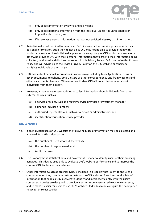

- (c) only collect information by lawful and fair means;
- (d) only collect personal information from the individual unless it is unreasonable or impracticable to do so; and
- (e) if it receives personal information that was not solicited, destroy that information.
- 4.2. An individual is not required to provide an OIG Licensee or their service provider with their personal information, but if they do not do so OIG may not be able to provide them with products or services. If an individual applies for or accepts any of OIG products or services or otherwise provides OIG with their personal information, they agree to their information being collected, held, used and disclosed as set out in this Privacy Policy. OIG may revise this Privacy Policy and will advise place the revised Privacy Policy on the OIG website or otherwise notifying individuals of the change.
- 4.3. OIG may collect personal information in various ways including from Application Forms or other documents, telephone, email, letters or other correspondence and from websites and other social media channels. Wherever practicable, OIG will collect information about individuals from them directly.
- 4.4. However, it may be necessary at times to collect information about individuals from other external sources, such as:
	- (a) a service provider, such as a registry service provider or investment manager;
	- (b) a financial adviser or broker;
	- (c) authorised representatives, such as executors or administrators; and
	- (d) identification verification service providers.

#### **OIG Websites**

- 4.5. If an individual uses an OIG website the following types of information may be collected and analysed for statistical purposes:
	- (a) the number of users who visit the website;
	- (b) the number of pages viewed; and
	- (c) traffic patterns.
- 4.6. This is anonymous statistical data and no attempt is made to identify users or their browsing activities. This data is used only to evaluate OIG's website performance and to improve the content OIG displays to the audience.
- 4.7. Other information, such as browser type, is included in a 'cookie' that is sent to the user's computer when they complete certain tasks on the OIG website. A cookie contains bits of information that enables OIG's servers to identify and interact efficiently with the user's computer. Cookies are designed to provide a better, more customised website experience, and to make it easier for users to use OIG's website. Individuals can configure their computer to accept or reject cookies.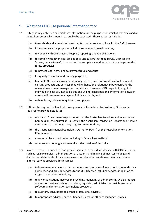

# <span id="page-5-0"></span>5. What does OIG use personal information for?

- 5.1. OIG generally only uses and discloses information for the purpose for which it was disclosed or related purposes which would reasonably be expected. Those purposes include:
	- (a) to establish and administer investments or other relationships with the OIG Licensee;
	- (b) for communication purposes including surveys and questionnaires;
	- (c) to comply with OIG's record-keeping, reporting, and tax obligations;
	- (d) to comply with other legal obligations such as laws that require OIG Licensees to "*know your customer*", to report on tax compliance and to determine a target market for its products;
	- (e) to protect legal rights and to prevent fraud and abuse;
	- (f) for quality assurance and training purposes;
	- (g) to enable OIG and its investment managers to provide information about new and existing products and services that will enhance the relationship between OIG, the relevant investment manager and individuals. However, OIG respects the right of individuals to ask OIG not to do this and will not share personal information between unrelated investment managers of different funds; and
	- (h) to handle any relevant enquiries or complaints.
- 5.2. OIG may be required by law to disclose personal information. For instance, OIG may be required to provide details to:
	- (a) Australian Government regulators such as the Australian Securities and Investments Commission, the Australian Tax Office, the Australian Transaction Reports and Analysis Centre and to other regulatory or government entities;
	- (b) the Australian Financial Complaints Authority (AFCA) or the Australian Information Commissioner;
	- (c) as required by a court order (including in Family Law matters);
	- (d) other regulatory or governmental entities outside of Australia.
- 5.3. In order to meet the needs of and provide services to individuals dealing with OIG Licensees, such as registry services, administration of accounts and mailing of investor holding and distribution statements, it may be necessary to release information or provide access to external service providers, for instance:
	- (a) to investment managers to better understand the types of investors in the funds they administer and provide services to the OIG Licensee including services in relation to target market determinations;
	- (b) to any organisations involved in providing, managing or administering OIG's products systems or services such as custodians, registries, administrators, mail houses and software and information technology providers;
	- (c) to auditors, consultants and other professional advisers;
	- (d) to appropriate advisers, such as financial, legal, or other consultancy services;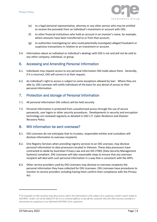

- (e) to a legal personal representative, attorney or any other person who may be entitled to receive the proceeds from an individual's investment or account with OIG;
- (f) to other financial institutions who hold an account in an investor's name, for example, where amounts have been transferred to or from that account;
- (g) to authorities investigating (or who could potentially investigate) alleged fraudulent or suspicious transactions in relation to an investment or account.
- 5.4. Information about an individual or individual's dealings with OIG is not and will not be sold to any other company, individual, or group.

#### <span id="page-6-0"></span>6. Accessing and Amending Personal Information

- 6.1. Individuals may request access to any personal information OIG holds about them. Generally, if it is incorrect, OIG will correct it at their request.
- 6.2. An individual's right to access is subject to some exceptions allowed by law2. Where they are able to, OIG Licensees will notify individuals of the basis for any denial of access to their personal information.

#### <span id="page-6-1"></span>7. Protection and storage of Personal Information

- 7.1. All personal information OIG collects will be held securely.
- 7.2. Personal information is protected from unauthorised access through the use of secure passwords, user logins or other security procedures. Developments in security and encryption technology are reviewed regularly as detailed in OIG's *IT, Cyber Resilience and Disaster Recovery Policy*.

#### <span id="page-6-2"></span>8. Will information be sent overseas?

- 8.1. OIG Licensees do not anticipate that its trustees, responsible entities and custodians will disclose information to overseas recipients.
- 8.2. One Registry Services when providing registry services to an OIG Licensee, may disclose personal information to data processors located in Vietnam. These data processors have contracted to abide by Australian Privacy Law and are ISO 27001 (Data Security Management Systems) compliant. OIG Licensees will take reasonable steps to ensure that any overseas recipient will deal with such personal information in a way that is consistent with the APPs.
- 8.3. Other service providers used by OIG Licensees may disclose to overseas recipients the personal information they have collected for OIG Licensees. OIG Licensees have procedures to monitor its service providers including having them confirm their compliance with the Privacy Act.

*<sup>2</sup> For example an OIG Licensee may deny access where the information is the subject of a suspicious matter report made to AUSTRAC. Under s.41 of the AML/CTF Act it is a criminal offence to tip-off the customer that the OIG Licensee considers a transaction as suspicious or as informed AUSTRAC of its suspicions.*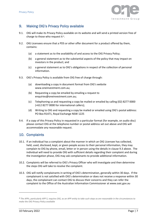

# <span id="page-7-0"></span>9. Making OIG's Privacy Policy available

- 9.1. OIG will make its Privacy Policy available on its website and will send a printed version free of charge to those who request it <sup>3</sup>.
- 9.2. OIG Licensees ensure that a PDS or other offer document for a product offered by them, contains:
	- (a) a statement as to the availability of and access to the OIG Privacy Policy;
	- (b) a general statement as to the substantial aspects of the policy that may impact on investors in the product; and
	- (c) a general statement as to OIG's obligations in respect of the collection of personal information.
- <span id="page-7-2"></span>9.3. OIG's Privacy Policy is available from OIG free of charge through:
	- (a) downloading a copy in document format from OIG's website www.oneinvestment.com.au;
	- (b) Requesting a copy be emailed by emailing a request to enquiries@oneinvestment.com.au;
	- (c) Telephoning us and requesting a copy be mailed or emailed by calling (02) 8277 0000 (+612 8277 0000 for international callers);
	- (d) Writing to OIG and requesting a copy be mailed or emailed using OIG's postal address: PO Box R1471, Royal Exchange NSW 1225
- 9.4. If a copy of this Privacy Policy in requested in a particular format (for example, on audio disc) please contact OIG at the telephone number or postal address set out above and OIG will accommodate any reasonable request.

## <span id="page-7-1"></span>10. Complaints

- 10.1. If an individual has a complaint about the manner in which an OIG Licensee has collected, held, used, disclosed, kept, or given people access to their personal information, they may complain to OIG by phone, email, letter or in person using the details in claus[e 9.3](#page-7-2) above. The individual will need to provide OIG with sufficient details regarding their complaint and during the investigation phase, OIG may ask complainants to provide additional information.
- 10.2. Complaints will be referred to OIG's Privacy Officer who will investigate and then determine the steps OIG will take to resolve the complaint.
- 10.3. OIG will notify complainants in writing of OIG's determination, generally within 30 days. If the complainant is not satisfied with OIG's determination or does not receive a response within 30 days, the complainant can contact OIG to discuss their concerns and they can refer the complaint to the Office of the Australian Information Commissioner at www.oaic.gov.au

*<sup>3</sup> The APPs, particularly APP 5, requires OIG, as an APP entity to take such steps as are reasonable in the circumstances to make the OIG Privacy Policy available*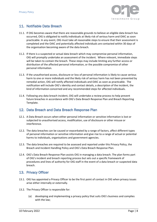

# <span id="page-8-0"></span>11. Notifiable Data Breach

- 11.1. If OIG becomes aware that there are reasonable grounds to believe an eligible data breach has occurred, OIG is obligated to notify individuals at likely risk of serious harm and OAIC as soon practicable. In any event, OIG must take all reasonable steps to ensure that their assessment is completed and the OAIC and potentially affected individuals are contacted within 30 days of the organisation becoming aware of the data breach.
- 11.2. If there is a suspected or actual data breach which may compromise personal information, OIG will promptly undertake an assessment of the incident. Where relevant, immediate steps will be taken to contain the breach. These steps may include limiting any further access or distribution of the affected personal information, or the possible compromise of other personal information.
- 11.3. If the unauthorised access, disclosure or loss of personal information is likely to cause serious harm to one or more individuals and the likely risk of serious harm has not been prevented by remedial action, OIG will notify affected individuals and OAIC as soon as practicable. The notification will include OIG's identity and contact details, a description of the incident, the kind of information concerned and any recommended steps for affected individuals.
- 11.4. Following any data breach incident, OIG will undertake a review process to help prevent future breaches in accordance with OIG's Data Breach Response Plan and Breach Reporting Template.

#### <span id="page-8-1"></span>12. Data Breach and Data Breach Response Plan

- 12.1. A Data Breach occurs when either personal information or sensitive information is lost or subjected to unauthorised access, modification, use of disclosure or other misuse or interference.
- 12.2. The data breaches can be caused or exacerbated by a range of factors, affect different types of personal information or sensitive information and give rise to a range of actual or potential harms to individuals, organisations and government agencies.
- 12.3. The data breaches are required to be assessed and reported under this Privacy Policy, the Breach and Incident Handling Policy and OIG's Data Breach Response Plan.
- 12.4. OIG's Data Breach Response Plan assists OIG in managing a data breach. The plan forms part of OIG's incident and breach reporting process but sets out a specific framework of procedures and lines of authority for OIG staff in the event of a data breach or suspected data breach.

## <span id="page-8-2"></span>13. Privacy Officer

- 13.1. OIG has appointed a Privacy Officer to be the first point of contact in OIG when privacy issues arise either internally or externally.
- 13.2. The Privacy Officer is responsible for:
	- (a) developing and implementing a privacy policy that suits OIG's business and complies with the law;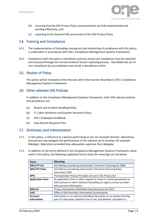

- (b) ensuring that the OIG Privacy Policy and procedures are fully implemented and working effectively; and
- (c) reporting to the board of OIG any breach of the OIG Privacy Policy.

#### <span id="page-9-0"></span>14. Training and Compliance

- 14.1. The implementation of (including training on) and monitoring of compliance with this policy is undertaken in accordance with OIG's *Compliance Management Systems Framework*.
- 14.2. Compliance with this policy is mandatory and any actual non-compliance must be reported and assessed through the normal incident/ breach reporting process. Any deliberate act of non-compliance by any employee may result in disciplinary action.

#### <span id="page-9-1"></span>15. Review of Policy

This policy will be reviewed at the intervals and in the manner described in OIG's *Compliance Management Systems Framework*.

#### <span id="page-9-2"></span>16. Other relevant OIG Policies

In addition to the *Compliance Management Systems Framework*, other OIG relevant policies and procedures are:

- (a) Breach and Incident Handling Policy;
- (b) IT, Cyber Resilience and Disaster Recovery Policy;
- (c) OIG's Employee Handbook;
- (d) Data Breach Response Plan.

#### <span id="page-9-3"></span>17. Dictionary and Interpretation

- 17.1. In this policy, a reference to a person performing an act, for example *Director, Operations*, that person may delegate the performance of the relevant act to another, for example *Manager, Operations* provided they adequately supervise their delegate.
- 17.2. In addition to the terms defined in the Compliance Management Systems Framework, when used in this policy, the following capitalised terms have the meanings set out below:

| Term                    | <b>Meaning</b>                                                          |
|-------------------------|-------------------------------------------------------------------------|
| <b>AML/CTF Act</b>      | Anti-Money Laundering and Counter-Terrorism Financing Act 2006          |
| <b>AML/CTF Rules</b>    | Anti-Money Laundering and Counter-Terrorism Financing Rules             |
|                         | Instrument 2007                                                         |
| <b>APPs</b>             | The Australian Privacy Principles set out in the Privacy Act            |
| <b>Application Form</b> | An application form or other request to invest in a fund operated by an |
|                         | OIG Licensee or other method of providing its registry service provider |
|                         | with personal information.                                              |
| <b>NDB Act</b>          | Privacy Amendment (Notifiable Data Breaches) Act 2017                   |
| <b>OAIC</b>             | Office of the Australian Information Commissioner                       |
| Personal                | Information or an opinion (including information or an opinion forming  |
| <b>Information</b>      | part of a data base, whether true or not, and whether recorded in a     |